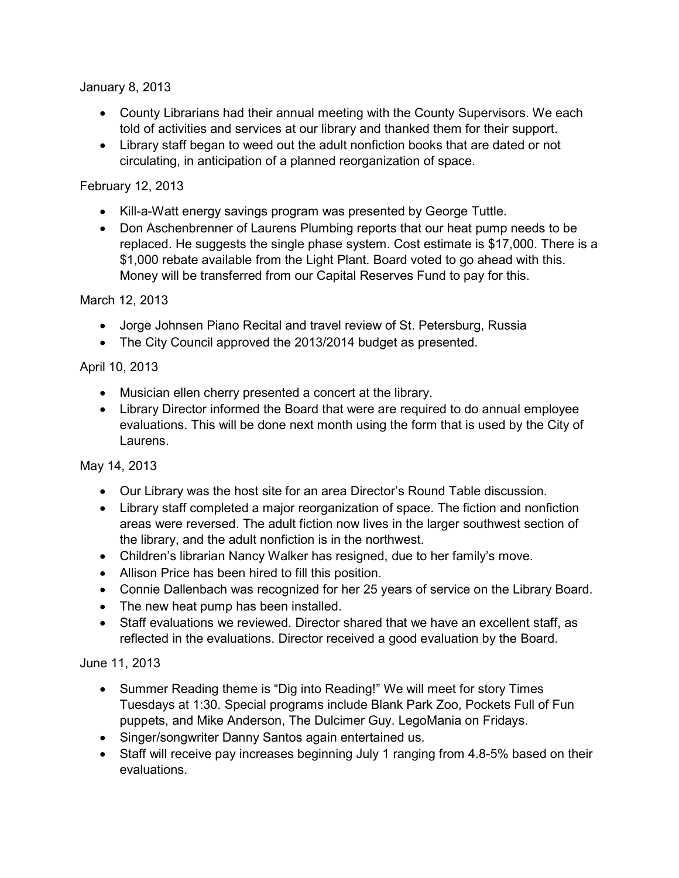January 8, 2013

- County Librarians had their annual meeting with the County Supervisors. We each told of activities and services at our library and thanked them for their support.
- Library staff began to weed out the adult nonfiction books that are dated or not circulating, in anticipation of a planned reorganization of space.

## February 12, 2013

- Kill-a-Watt energy savings program was presented by George Tuttle.
- Don Aschenbrenner of Laurens Plumbing reports that our heat pump needs to be replaced. He suggests the single phase system. Cost estimate is \$17,000. There is a \$1,000 rebate available from the Light Plant. Board voted to go ahead with this. Money will be transferred from our Capital Reserves Fund to pay for this.

March 12, 2013

- Jorge Johnsen Piano Recital and travel review of St. Petersburg, Russia
- The City Council approved the 2013/2014 budget as presented.

## April 10, 2013

- Musician ellen cherry presented a concert at the library.
- Library Director informed the Board that were are required to do annual employee evaluations. This will be done next month using the form that is used by the City of Laurens.

May 14, 2013

- Our Library was the host site for an area Director's Round Table discussion.
- Library staff completed a major reorganization of space. The fiction and nonfiction areas were reversed. The adult fiction now lives in the larger southwest section of the library, and the adult nonfiction is in the northwest.
- Children's librarian Nancy Walker has resigned, due to her family's move.
- Allison Price has been hired to fill this position.
- Connie Dallenbach was recognized for her 25 years of service on the Library Board.
- The new heat pump has been installed.
- Staff evaluations we reviewed. Director shared that we have an excellent staff, as reflected in the evaluations. Director received a good evaluation by the Board.

## June 11, 2013

- Summer Reading theme is "Dig into Reading!" We will meet for story Times Tuesdays at 1:30. Special programs include Blank Park Zoo, Pockets Full of Fun puppets, and Mike Anderson, The Dulcimer Guy. LegoMania on Fridays.
- Singer/songwriter Danny Santos again entertained us.
- Staff will receive pay increases beginning July 1 ranging from 4.8-5% based on their evaluations.